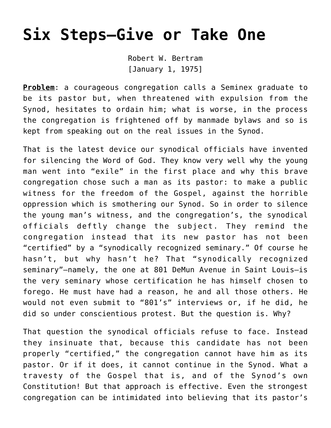## **[Six Steps–Give or Take One](https://crossings.org/six-steps/)**

Robert W. Bertram [January 1, 1975]

**Problem**: a courageous congregation calls a Seminex graduate to be its pastor but, when threatened with expulsion from the Synod, hesitates to ordain him; what is worse, in the process the congregation is frightened off by manmade bylaws and so is kept from speaking out on the real issues in the Synod.

That is the latest device our synodical officials have invented for silencing the Word of God. They know very well why the young man went into "exile" in the first place and why this brave congregation chose such a man as its pastor: to make a public witness for the freedom of the Gospel, against the horrible oppression which is smothering our Synod. So in order to silence the young man's witness, and the congregation's, the synodical officials deftly change the subject. They remind the congregation instead that its new pastor has not been "certified" by a "synodically recognized seminary." Of course he hasn't, but why hasn't he? That "synodically recognized seminary"—namely, the one at 801 DeMun Avenue in Saint Louis—is the very seminary whose certification he has himself chosen to forego. He must have had a reason, he and all those others. He would not even submit to "801's" interviews or, if he did, he did so under conscientious protest. But the question is. Why?

That question the synodical officials refuse to face. Instead they insinuate that, because this candidate has not been properly "certified," the congregation cannot have him as its pastor. Or if it does, it cannot continue in the Synod. What a travesty of the Gospel that is, and of the Synod's own Constitution! But that approach is effective. Even the strongest congregation can be intimidated into believing that its pastor's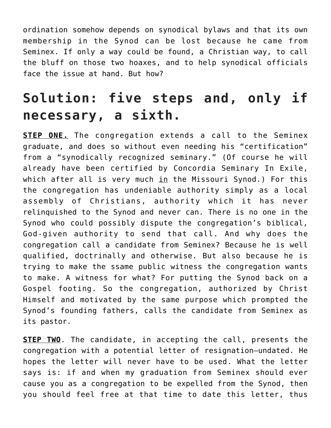ordination somehow depends on synodical bylaws and that its own membership in the Synod can be lost because he came from Seminex. If only a way could be found, a Christian way, to call the bluff on those two hoaxes, and to help synodical officials face the issue at hand. But how?

## **Solution: five steps and, only if necessary, a sixth.**

**STEP ONE.** The congregation extends a call to the Seminex graduate, and does so without even needing his "certification" from a "synodically recognized seminary." (Of course he will already have been certified by Concordia Seminary In Exile, which after all is very much  $\text{in}$  the Missouri Synod.) For this the congregation has undeniable authority simply as a local assembly of Christians, authority which it has never relinquished to the Synod and never can. There is no one in the Synod who could possibly dispute the congregation's biblical, God-given authority to send that call. And why does the congregation call a candidate from Seminex? Because he is well qualified, doctrinally and otherwise. But also because he is trying to make the ssame public witness the congregation wants to make. A witness for what? For putting the Synod back on a Gospel footing. So the congregation, authorized by Christ Himself and motivated by the same purpose which prompted the Synod's founding fathers, calls the candidate from Seminex as its pastor.

**STEP TWO**. The candidate, in accepting the call, presents the congregation with a potential letter of resignation—undated. He hopes the letter will never have to be used. What the letter says is: if and when my graduation from Seminex should ever cause you as a congregation to be expelled from the Synod, then you should feel free at that time to date this letter, thus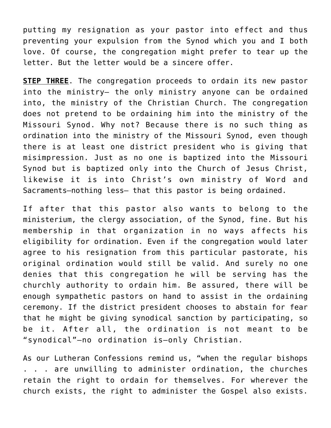putting my resignation as your pastor into effect and thus preventing your expulsion from the Synod which you and I both love. Of course, the congregation might prefer to tear up the letter. But the letter would be a sincere offer.

**STEP THREE**. The congregation proceeds to ordain its new pastor into the ministry— the only ministry anyone can be ordained into, the ministry of the Christian Church. The congregation does not pretend to be ordaining him into the ministry of the Missouri Synod. Why not? Because there is no such thing as ordination into the ministry of the Missouri Synod, even though there is at least one district president who is giving that misimpression. Just as no one is baptized into the Missouri Synod but is baptized only into the Church of Jesus Christ, likewise it is into Christ's own ministry of Word and Sacraments—nothing less— that this pastor is being ordained.

If after that this pastor also wants to belong to the ministerium, the clergy association, of the Synod, fine. But his membership in that organization in no ways affects his eligibility for ordination. Even if the congregation would later agree to his resignation from this particular pastorate, his original ordination would still be valid. And surely no one denies that this congregation he will be serving has the churchly authority to ordain him. Be assured, there will be enough sympathetic pastors on hand to assist in the ordaining ceremony. If the district president chooses to abstain for fear that he might be giving synodical sanction by participating, so be it. After all, the ordination is not meant to be "synodical"—no ordination is—only Christian.

As our Lutheran Confessions remind us, "when the regular bishops . . . are unwilling to administer ordination, the churches retain the right to ordain for themselves. For wherever the church exists, the right to administer the Gospel also exists.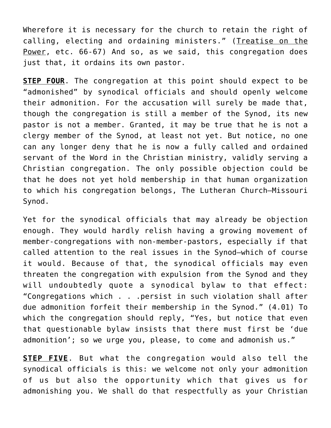Wherefore it is necessary for the church to retain the right of calling, electing and ordaining ministers." (Treatise on the Power, etc. 66-67) And so, as we said, this congregation does just that, it ordains its own pastor.

**STEP FOUR**. The congregation at this point should expect to be "admonished" by synodical officials and should openly welcome their admonition. For the accusation will surely be made that, though the congregation is still a member of the Synod, its new pastor is not a member. Granted, it may be true that he is not a clergy member of the Synod, at least not yet. But notice, no one can any longer deny that he is now a fully called and ordained servant of the Word in the Christian ministry, validly serving a Christian congregation. The only possible objection could be that he does not yet hold membership in that human organization to which his congregation belongs, The Lutheran Church—Missouri Synod.

Yet for the synodical officials that may already be objection enough. They would hardly relish having a growing movement of member-congregations with non-member-pastors, especially if that called attention to the real issues in the Synod—which of course it would. Because of that, the synodical officials may even threaten the congregation with expulsion from the Synod and they will undoubtedly quote a synodical bylaw to that effect: "Congregations which . . .persist in such violation shall after due admonition forfeit their membership in the Synod." (4.01) To which the congregation should reply, "Yes, but notice that even that questionable bylaw insists that there must first be 'due admonition'; so we urge you, please, to come and admonish us."

**STEP FIVE**. But what the congregation would also tell the synodical officials is this: we welcome not only your admonition of us but also the opportunity which that gives us for admonishing you. We shall do that respectfully as your Christian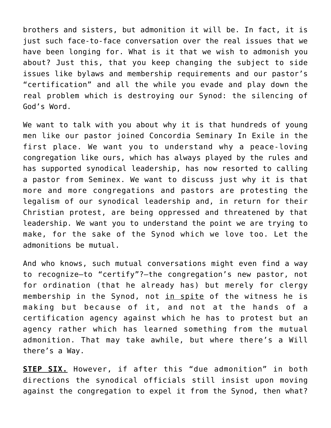brothers and sisters, but admonition it will be. In fact, it is just such face-to-face conversation over the real issues that we have been longing for. What is it that we wish to admonish you about? Just this, that you keep changing the subject to side issues like bylaws and membership requirements and our pastor's "certification" and all the while you evade and play down the real problem which is destroying our Synod: the silencing of God's Word.

We want to talk with you about why it is that hundreds of young men like our pastor joined Concordia Seminary In Exile in the first place. We want you to understand why a peace-loving congregation like ours, which has always played by the rules and has supported synodical leadership, has now resorted to calling a pastor from Seminex. We want to discuss just why it is that more and more congregations and pastors are protesting the legalism of our synodical leadership and, in return for their Christian protest, are being oppressed and threatened by that leadership. We want you to understand the point we are trying to make, for the sake of the Synod which we love too. Let the admonitions be mutual.

And who knows, such mutual conversations might even find a way to recognize—to "certify"?—the congregation's new pastor, not for ordination (that he already has) but merely for clergy membership in the Synod, not in spite of the witness he is making but because of it, and not at the hands of a certification agency against which he has to protest but an agency rather which has learned something from the mutual admonition. That may take awhile, but where there's a Will there's a Way.

**STEP SIX.** However, if after this "due admonition" in both directions the synodical officials still insist upon moving against the congregation to expel it from the Synod, then what?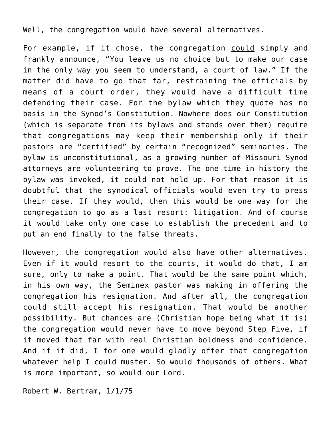Well, the congregation would have several alternatives.

For example, if it chose, the congregation could simply and frankly announce, "You leave us no choice but to make our case in the only way you seem to understand, a court of law." If the matter did have to go that far, restraining the officials by means of a court order, they would have a difficult time defending their case. For the bylaw which they quote has no basis in the Synod's Constitution. Nowhere does our Constitution (which is separate from its bylaws and stands over them) require that congregations may keep their membership only if their pastors are "certified" by certain "recognized" seminaries. The bylaw is unconstitutional, as a growing number of Missouri Synod attorneys are volunteering to prove. The one time in history the bylaw was invoked, it could not hold up. For that reason it is doubtful that the synodical officials would even try to press their case. If they would, then this would be one way for the congregation to go as a last resort: litigation. And of course it would take only one case to establish the precedent and to put an end finally to the false threats.

However, the congregation would also have other alternatives. Even if it would resort to the courts, it would do that, I am sure, only to make a point. That would be the same point which, in his own way, the Seminex pastor was making in offering the congregation his resignation. And after all, the congregation could still accept his resignation. That would be another possibility. But chances are (Christian hope being what it is) the congregation would never have to move beyond Step Five, if it moved that far with real Christian boldness and confidence. And if it did, I for one would gladly offer that congregation whatever help I could muster. So would thousands of others. What is more important, so would our Lord.

Robert W. Bertram, 1/1/75